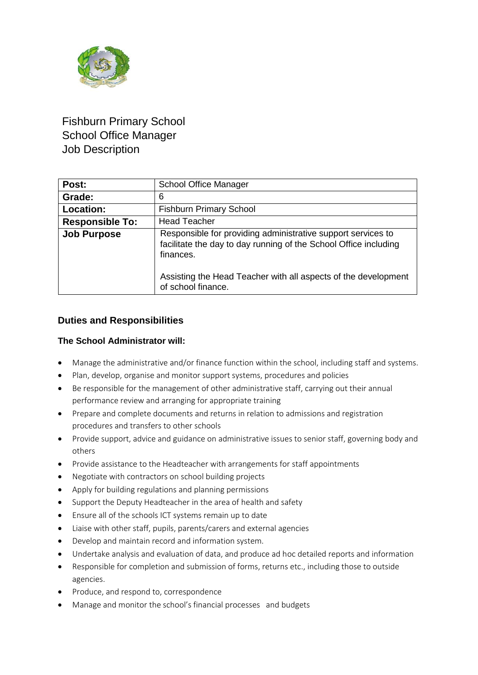

# Fishburn Primary School School Office Manager Job Description

| Post:                  | School Office Manager                                                                                                                                                                                           |  |
|------------------------|-----------------------------------------------------------------------------------------------------------------------------------------------------------------------------------------------------------------|--|
| Grade:                 | 6                                                                                                                                                                                                               |  |
| Location:              | <b>Fishburn Primary School</b>                                                                                                                                                                                  |  |
| <b>Responsible To:</b> | <b>Head Teacher</b>                                                                                                                                                                                             |  |
| <b>Job Purpose</b>     | Responsible for providing administrative support services to<br>facilitate the day to day running of the School Office including<br>finances.<br>Assisting the Head Teacher with all aspects of the development |  |
|                        | of school finance.                                                                                                                                                                                              |  |

## **Duties and Responsibilities**

### **The School Administrator will:**

- Manage the administrative and/or finance function within the school, including staff and systems.
- Plan, develop, organise and monitor support systems, procedures and policies
- Be responsible for the management of other administrative staff, carrying out their annual performance review and arranging for appropriate training
- Prepare and complete documents and returns in relation to admissions and registration procedures and transfers to other schools
- Provide support, advice and guidance on administrative issues to senior staff, governing body and others
- Provide assistance to the Headteacher with arrangements for staff appointments
- Negotiate with contractors on school building projects
- Apply for building regulations and planning permissions
- Support the Deputy Headteacher in the area of health and safety
- Ensure all of the schools ICT systems remain up to date
- Liaise with other staff, pupils, parents/carers and external agencies
- Develop and maintain record and information system.
- Undertake analysis and evaluation of data, and produce ad hoc detailed reports and information
- Responsible for completion and submission of forms, returns etc., including those to outside agencies.
- Produce, and respond to, correspondence
- Manage and monitor the school's financial processes and budgets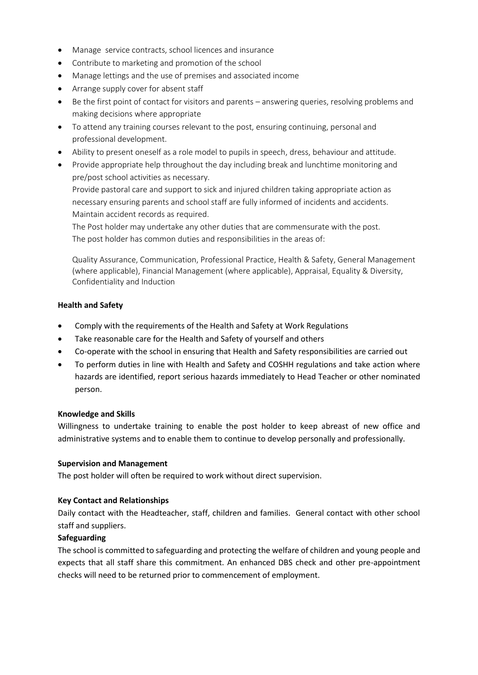- Manage service contracts, school licences and insurance
- Contribute to marketing and promotion of the school
- Manage lettings and the use of premises and associated income
- Arrange supply cover for absent staff
- Be the first point of contact for visitors and parents answering queries, resolving problems and making decisions where appropriate
- To attend any training courses relevant to the post, ensuring continuing, personal and professional development.
- Ability to present oneself as a role model to pupils in speech, dress, behaviour and attitude.
- Provide appropriate help throughout the day including break and lunchtime monitoring and pre/post school activities as necessary.

Provide pastoral care and support to sick and injured children taking appropriate action as necessary ensuring parents and school staff are fully informed of incidents and accidents. Maintain accident records as required.

The Post holder may undertake any other duties that are commensurate with the post. The post holder has common duties and responsibilities in the areas of:

Quality Assurance, Communication, Professional Practice, Health & Safety, General Management (where applicable), Financial Management (where applicable), Appraisal, Equality & Diversity, Confidentiality and Induction

#### **Health and Safety**

- Comply with the requirements of the Health and Safety at Work Regulations
- Take reasonable care for the Health and Safety of yourself and others
- Co-operate with the school in ensuring that Health and Safety responsibilities are carried out
- To perform duties in line with Health and Safety and COSHH regulations and take action where hazards are identified, report serious hazards immediately to Head Teacher or other nominated person.

#### **Knowledge and Skills**

Willingness to undertake training to enable the post holder to keep abreast of new office and administrative systems and to enable them to continue to develop personally and professionally.

#### **Supervision and Management**

The post holder will often be required to work without direct supervision.

#### **Key Contact and Relationships**

Daily contact with the Headteacher, staff, children and families. General contact with other school staff and suppliers.

#### **Safeguarding**

The school is committed to safeguarding and protecting the welfare of children and young people and expects that all staff share this commitment. An enhanced DBS check and other pre-appointment checks will need to be returned prior to commencement of employment.